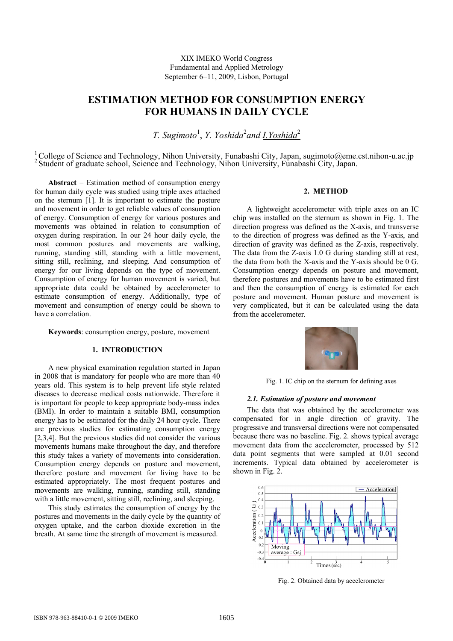# **ESTIMATION METHOD FOR CONSUMPTION ENERGY FOR HUMANS IN DAILY CYCLE**

T. Sugimoto<sup>1</sup>, Y. Yoshida<sup>2</sup>and **I.Yoshida**<sup>2</sup>

<sup>1</sup> College of Science and Technology, Nihon University, Funabashi City, Japan, sugimoto@eme.cst.nihon-u.ac.jp <sup>2</sup> Student of graduate school, Science and Technology, Nihon University, Funabashi City, Japan.

**Abstract** − Estimation method of consumption energy for human daily cycle was studied using triple axes attached on the sternum [1]. It is important to estimate the posture and movement in order to get reliable values of consumption of energy. Consumption of energy for various postures and movements was obtained in relation to consumption of oxygen during respiration. In our 24 hour daily cycle, the most common postures and movements are walking, running, standing still, standing with a little movement, sitting still, reclining, and sleeping. And consumption of energy for our living depends on the type of movement. Consumption of energy for human movement is varied, but appropriate data could be obtained by accelerometer to estimate consumption of energy. Additionally, type of movement and consumption of energy could be shown to have a correlation.

**Keywords**: consumption energy, posture, movement

# **1. INTRODUCTION**

A new physical examination regulation started in Japan in 2008 that is mandatory for people who are more than 40 years old. This system is to help prevent life style related diseases to decrease medical costs nationwide. Therefore it is important for people to keep appropriate body-mass index (BMI). In order to maintain a suitable BMI, consumption energy has to be estimated for the daily 24 hour cycle. There are previous studies for estimating consumption energy [2,3,4]. But the previous studies did not consider the various movements humans make throughout the day, and therefore this study takes a variety of movements into consideration. Consumption energy depends on posture and movement, therefore posture and movement for living have to be estimated appropriately. The most frequent postures and movements are walking, running, standing still, standing with a little movement, sitting still, reclining, and sleeping.

This study estimates the consumption of energy by the postures and movements in the daily cycle by the quantity of oxygen uptake, and the carbon dioxide excretion in the breath. At same time the strength of movement is measured.

# **2. METHOD**

A lightweight accelerometer with triple axes on an IC chip was installed on the sternum as shown in Fig. 1. The direction progress was defined as the X-axis, and transverse to the direction of progress was defined as the Y-axis, and direction of gravity was defined as the Z-axis, respectively. The data from the Z-axis 1.0 G during standing still at rest, the data from both the X-axis and the Y-axis should be 0 G. Consumption energy depends on posture and movement, therefore postures and movements have to be estimated first and then the consumption of energy is estimated for each posture and movement. Human posture and movement is very complicated, but it can be calculated using the data from the accelerometer.



Fig. 1. IC chip on the sternum for defining axes

#### *2.1. Estimation of posture and movement*

The data that was obtained by the accelerometer was compensated for in angle direction of gravity. The progressive and transversal directions were not compensated because there was no baseline. Fig. 2. shows typical average movement data from the accelerometer, processed by 512 data point segments that were sampled at 0.01 second increments. Typical data obtained by accelerometer is shown in Fig. 2.



Fig. 2. Obtained data by accelerometer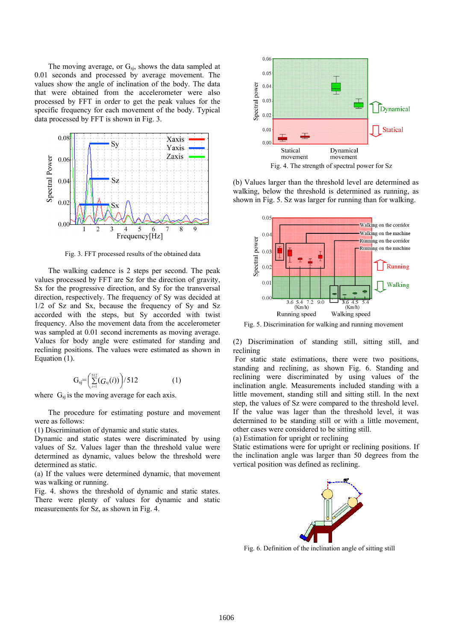The moving average, or  $G_{sj}$ , shows the data sampled at 0.01 seconds and processed by average movement. The values show the angle of inclination of the body. The data that were obtained from the accelerometer were also processed by FFT in order to get the peak values for the specific frequency for each movement of the body. Typical data processed by FFT is shown in Fig. 3.



Fig. 3. FFT processed results of the obtained data

The walking cadence is 2 steps per second. The peak values processed by FFT are Sz for the direction of gravity, Sx for the progressive direction, and Sy for the transversal direction, respectively. The frequency of Sy was decided at 1/2 of Sz and Sx, because the frequency of Sy and Sz accorded with the steps, but Sy accorded with twist frequency. Also the movement data from the accelerometer was sampled at 0.01 second increments as moving average. Values for body angle were estimated for standing and reclining positions. The values were estimated as shown in Equation (1).

$$
G_{sj} = \left(\sum_{i=1}^{512} (G_{sj}(i))\right) / 512 \tag{1}
$$

where  $G_{si}$  is the moving average for each axis.

The procedure for estimating posture and movement were as follows:

(1) Discrimination of dynamic and static states.

Dynamic and static states were discriminated by using values of Sz. Values lager than the threshold value were determined as dynamic, values below the threshold were determined as static.

(a) If the values were determined dynamic, that movement was walking or running.

Fig. 4. shows the threshold of dynamic and static states. There were plenty of values for dynamic and static measurements for Sz, as shown in Fig. 4.



(b) Values larger than the threshold level are determined as walking, below the threshold is determined as running, as shown in Fig. 5. Sz was larger for running than for walking.



Fig. 5. Discrimination for walking and running movement

(2) Discrimination of standing still, sitting still, and reclining

 For static state estimations, there were two positions, standing and reclining, as shown Fig. 6. Standing and reclining were discriminated by using values of the inclination angle. Measurements included standing with a little movement, standing still and sitting still. In the next step, the values of Sz were compared to the threshold level. If the value was lager than the threshold level, it was determined to be standing still or with a little movement, other cases were considered to be sitting still. (a) Estimation for upright or reclining

Static estimations were for upright or reclining positions. If the inclination angle was larger than 50 degrees from the vertical position was defined as reclining.



Fig. 6. Definition of the inclination angle of sitting still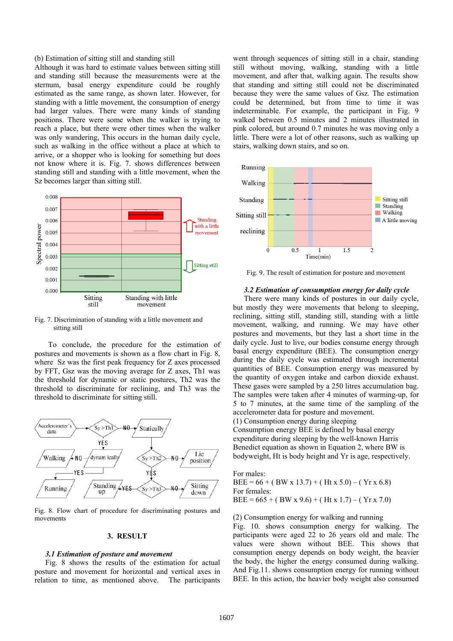#### (b) Estimation of sitting still and standing still

Although it was hard to estimate values between sitting still and standing still because the measurements were at the sternum, basal energy expenditure could be roughly estimated as the same range, as shown later. However, for standing with a little movement, the consumption of energy had larger values. There were many kinds of standing positions. There were some when the walker is trying to reach a place, but there were other times when the walker was only wandering, This occurs in the human daily cycle, such as walking in the office without a place at which to arrive, or a shopper who is looking for something but does not know where it is. Fig. 7. shows differences between standing still and standing with a little movement, when the Sz becomes larger than sitting still.



Fig. 7. Discrimination of standing with a little movement and sitting still

To conclude, the procedure for the estimation of postures and movements is shown as a flow chart in Fig. 8, where Sz was the first peak frequency for Z axes processed by FFT, Gsz was the moving average for Z axes, Th1 was the threshold for dynamic or static postures, Th2 was the threshold to discriminate for reclining, and Th3 was the threshold to discriminate for sitting still.



Fig. 8. Flow chart of procedure for discriminating postures and movements

# **3. RESULT**

#### *3.1 Estimation of posture and movement*

Fig. 8 shows the results of the estimation for actual posture and movement for horizontal and vertical axes in relation to time, as mentioned above. The participants went through sequences of sitting still in a chair, standing still without moving, walking, standing with a little movement, and after that, walking again. The results show that standing and sitting still could not be discriminated because they were the same values of Gsz. The estimation could be determined, but from time to time it was indeterminable. For example, the participant in Fig. 9 walked between 0.5 minutes and 2 minutes illustrated in pink colored, but around 0.7 minutes he was moving only a little. There were a lot of other reasons, such as walking up stairs, walking down stairs, and so on.



Fig. 9. The result of estimation for posture and movement

#### *3.2 Estimation of consumption energy for daily cycle*

There were many kinds of postures in our daily cycle, but mostly they were movements that belong to sleeping, reclining, sitting still, standing still, standing with a little movement, walking, and running. We may have other postures and movements, but they last a short time in the daily cycle. Just to live, our bodies consume energy through basal energy expenditure (BEE). The consumption energy during the daily cycle was estimated through incremental quantities of BEE. Consumption energy was measured by the quantity of oxygen intake and carbon dioxide exhaust. These gases were sampled by a 250 litres accumulation bag. The samples were taken after 4 minutes of warming-up, for 5 to 7 minutes, at the same time of the sampling of the accelerometer data for posture and movement. (1) Consumption energy during sleeping

Consumption energy BEE is defined by basal energy expenditure during sleeping by the well-known Harris Benedict equation as shown in Equation 2, where BW is bodyweight, Ht is body height and Yr is age, respectively.

For males:  $BEE = 66 + (BW \times 13.7) + (Ht \times 5.0) - (Yr \times 6.8)$ For females:  $BEE = 665 + (BW \times 9.6) + (Ht \times 1.7) - (Yr \times 7.0)$ 

#### (2) Consumption energy for walking and running

Fig. 10. shows consumption energy for walking. The participants were aged 22 to 26 years old and male. The values were shown without BEE. This shows that consumption energy depends on body weight, the heavier the body, the higher the energy consumed during walking. And Fig.11. shows consumption energy for running without BEE. In this action, the heavier body weight also consumed